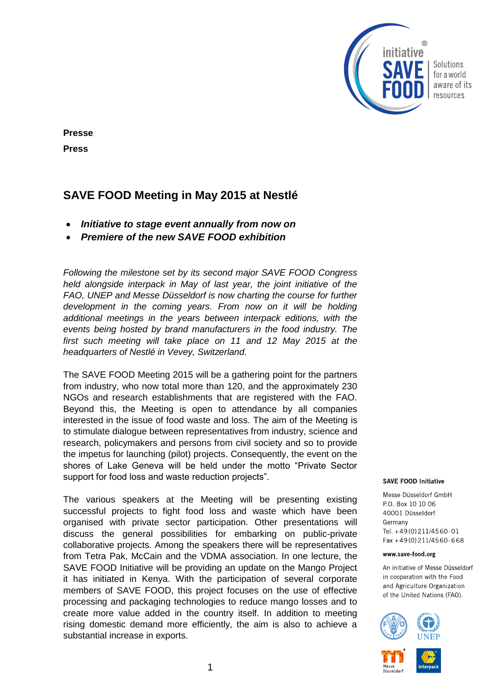

Solutions for a world aware of its resources

## **Presse Press**

# **SAVE FOOD Meeting in May 2015 at Nestlé**

- *Initiative to stage event annually from now on*
- *Premiere of the new SAVE FOOD exhibition*

*Following the milestone set by its second major SAVE FOOD Congress held alongside interpack in May of last year, the joint initiative of the FAO, UNEP and Messe Düsseldorf is now charting the course for further development in the coming years. From now on it will be holding additional meetings in the years between interpack editions, with the events being hosted by brand manufacturers in the food industry. The first such meeting will take place on 11 and 12 May 2015 at the headquarters of Nestlé in Vevey, Switzerland.*

The SAVE FOOD Meeting 2015 will be a gathering point for the partners from industry, who now total more than 120, and the approximately 230 NGOs and research establishments that are registered with the FAO. Beyond this, the Meeting is open to attendance by all companies interested in the issue of food waste and loss. The aim of the Meeting is to stimulate dialogue between representatives from industry, science and research, policymakers and persons from civil society and so to provide the impetus for launching (pilot) projects. Consequently, the event on the shores of Lake Geneva will be held under the motto "Private Sector support for food loss and waste reduction projects".

The various speakers at the Meeting will be presenting existing successful projects to fight food loss and waste which have been organised with private sector participation. Other presentations will discuss the general possibilities for embarking on public-private collaborative projects. Among the speakers there will be representatives from Tetra Pak, McCain and the VDMA association. In one lecture, the SAVE FOOD Initiative will be providing an update on the Mango Project it has initiated in Kenya. With the participation of several corporate members of SAVE FOOD, this project focuses on the use of effective processing and packaging technologies to reduce mango losses and to create more value added in the country itself. In addition to meeting rising domestic demand more efficiently, the aim is also to achieve a substantial increase in exports.

#### **SAVE FOOD Initiative**

Messe Düsseldorf GmbH P.O. Box 10 10 06 40001 Düsseldorf Germany Tel. +49(0)211/4560-01 Fax +49(0)211/4560-668

#### www.save-food.org

An initiative of Messe Düsseldorf in cooperation with the Food and Agriculture Organization of the United Nations (FAO).





Düsseldo